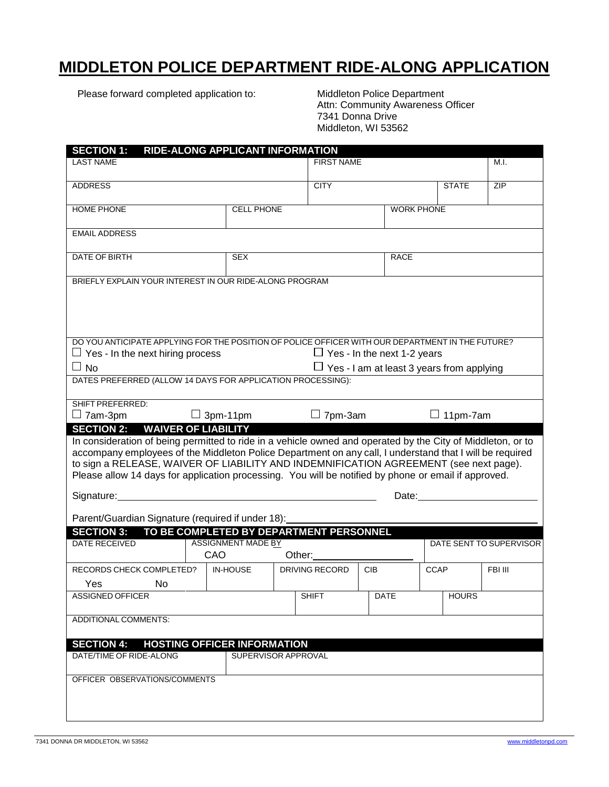# **MIDDLETON POLICE DEPARTMENT RIDE-ALONG APPLICATION**

Please forward completed application to: Middleton Police Department

 Attn: Community Awareness Officer 7341 Donna Drive Middleton, WI 53562

| <b>SECTION 1:</b>                                                                                                                                    |                 | RIDE-ALONG APPLICANT INFORMATION                                                                 |  |                                    |                                                  |                   |                         |         |  |
|------------------------------------------------------------------------------------------------------------------------------------------------------|-----------------|--------------------------------------------------------------------------------------------------|--|------------------------------------|--------------------------------------------------|-------------------|-------------------------|---------|--|
| <b>LAST NAME</b>                                                                                                                                     |                 |                                                                                                  |  | <b>FIRST NAME</b>                  |                                                  |                   |                         | M.I.    |  |
|                                                                                                                                                      |                 |                                                                                                  |  |                                    |                                                  |                   |                         |         |  |
| <b>ADDRESS</b>                                                                                                                                       |                 |                                                                                                  |  | <b>CITY</b>                        |                                                  |                   | <b>STATE</b>            | ZIP     |  |
|                                                                                                                                                      |                 |                                                                                                  |  |                                    |                                                  |                   |                         |         |  |
| <b>HOME PHONE</b>                                                                                                                                    |                 | <b>CELL PHONE</b>                                                                                |  |                                    |                                                  | <b>WORK PHONE</b> |                         |         |  |
| <b>EMAIL ADDRESS</b>                                                                                                                                 |                 |                                                                                                  |  |                                    |                                                  |                   |                         |         |  |
|                                                                                                                                                      |                 |                                                                                                  |  |                                    |                                                  |                   |                         |         |  |
| <b>DATE OF BIRTH</b>                                                                                                                                 |                 | <b>SEX</b>                                                                                       |  |                                    |                                                  | <b>RACE</b>       |                         |         |  |
|                                                                                                                                                      |                 |                                                                                                  |  |                                    |                                                  |                   |                         |         |  |
| BRIEFLY EXPLAIN YOUR INTEREST IN OUR RIDE-ALONG PROGRAM                                                                                              |                 |                                                                                                  |  |                                    |                                                  |                   |                         |         |  |
|                                                                                                                                                      |                 |                                                                                                  |  |                                    |                                                  |                   |                         |         |  |
|                                                                                                                                                      |                 |                                                                                                  |  |                                    |                                                  |                   |                         |         |  |
|                                                                                                                                                      |                 |                                                                                                  |  |                                    |                                                  |                   |                         |         |  |
|                                                                                                                                                      |                 |                                                                                                  |  |                                    |                                                  |                   |                         |         |  |
|                                                                                                                                                      |                 | DO YOU ANTICIPATE APPLYING FOR THE POSITION OF POLICE OFFICER WITH OUR DEPARTMENT IN THE FUTURE? |  |                                    |                                                  |                   |                         |         |  |
| $\Box$ Yes - In the next hiring process                                                                                                              |                 |                                                                                                  |  | $\Box$ Yes - In the next 1-2 years |                                                  |                   |                         |         |  |
| $\Box$ No                                                                                                                                            |                 |                                                                                                  |  |                                    | $\Box$ Yes - I am at least 3 years from applying |                   |                         |         |  |
| DATES PREFERRED (ALLOW 14 DAYS FOR APPLICATION PROCESSING):                                                                                          |                 |                                                                                                  |  |                                    |                                                  |                   |                         |         |  |
|                                                                                                                                                      |                 |                                                                                                  |  |                                    |                                                  |                   |                         |         |  |
| <b>SHIFT PREFERRED:</b>                                                                                                                              |                 |                                                                                                  |  | $\Box$ 7pm-3am                     |                                                  |                   |                         |         |  |
| $\Box$ 7am-3pm                                                                                                                                       | $\Box$ 3pm-11pm |                                                                                                  |  |                                    |                                                  |                   | $\Box$ 11pm-7am         |         |  |
| <b>SECTION 2: WAIVER OF LIABILITY</b><br>In consideration of being permitted to ride in a vehicle owned and operated by the City of Middleton, or to |                 |                                                                                                  |  |                                    |                                                  |                   |                         |         |  |
| accompany employees of the Middleton Police Department on any call, I understand that I will be required                                             |                 |                                                                                                  |  |                                    |                                                  |                   |                         |         |  |
| to sign a RELEASE, WAIVER OF LIABILITY AND INDEMNIFICATION AGREEMENT (see next page).                                                                |                 |                                                                                                  |  |                                    |                                                  |                   |                         |         |  |
| Please allow 14 days for application processing. You will be notified by phone or email if approved.                                                 |                 |                                                                                                  |  |                                    |                                                  |                   |                         |         |  |
|                                                                                                                                                      |                 |                                                                                                  |  |                                    |                                                  |                   |                         |         |  |
| Signature:<br>Date:                                                                                                                                  |                 |                                                                                                  |  |                                    |                                                  |                   |                         |         |  |
| Parent/Guardian Signature (required if under 18):                                                                                                    |                 |                                                                                                  |  |                                    |                                                  |                   |                         |         |  |
| <b>SECTION 3:</b>                                                                                                                                    |                 |                                                                                                  |  |                                    |                                                  |                   |                         |         |  |
| TO BE COMPLETED BY DEPARTMENT PERSONNEL<br><b>ASSIGNMENT MADE BY</b><br><b>DATE RECEIVED</b>                                                         |                 |                                                                                                  |  |                                    |                                                  |                   | DATE SENT TO SUPERVISOR |         |  |
|                                                                                                                                                      | CAO             |                                                                                                  |  | Other:                             |                                                  |                   |                         |         |  |
| RECORDS CHECK COMPLETED?                                                                                                                             |                 | <b>IN-HOUSE</b>                                                                                  |  | <b>DRIVING RECORD</b>              | <b>CIB</b>                                       |                   | <b>CCAP</b>             | FBI III |  |
| Yes<br>No                                                                                                                                            |                 |                                                                                                  |  |                                    |                                                  |                   |                         |         |  |
| <b>ASSIGNED OFFICER</b>                                                                                                                              |                 |                                                                                                  |  | SHIFT                              | DATE                                             |                   | <b>HOURS</b>            |         |  |
|                                                                                                                                                      |                 |                                                                                                  |  |                                    |                                                  |                   |                         |         |  |
| ADDITIONAL COMMENTS:                                                                                                                                 |                 |                                                                                                  |  |                                    |                                                  |                   |                         |         |  |
|                                                                                                                                                      |                 |                                                                                                  |  |                                    |                                                  |                   |                         |         |  |
| <b>SECTION 4:</b>                                                                                                                                    |                 | <b>HOSTING OFFICER INFORMATION</b>                                                               |  |                                    |                                                  |                   |                         |         |  |
| DATE/TIME OF RIDE-ALONG                                                                                                                              |                 | SUPERVISOR APPROVAL                                                                              |  |                                    |                                                  |                   |                         |         |  |
|                                                                                                                                                      |                 |                                                                                                  |  |                                    |                                                  |                   |                         |         |  |
| OFFICER OBSERVATIONS/COMMENTS                                                                                                                        |                 |                                                                                                  |  |                                    |                                                  |                   |                         |         |  |
|                                                                                                                                                      |                 |                                                                                                  |  |                                    |                                                  |                   |                         |         |  |
|                                                                                                                                                      |                 |                                                                                                  |  |                                    |                                                  |                   |                         |         |  |
|                                                                                                                                                      |                 |                                                                                                  |  |                                    |                                                  |                   |                         |         |  |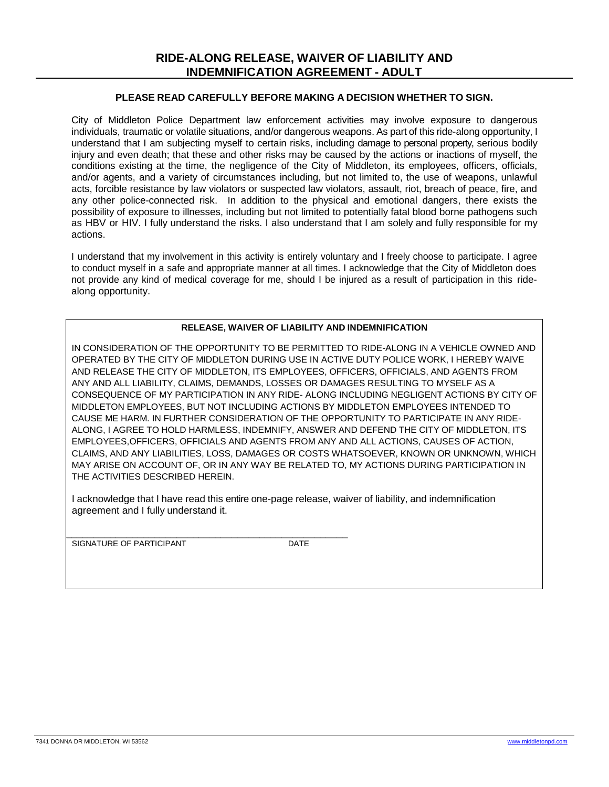#### **PLEASE READ CAREFULLY BEFORE MAKING A DECISION WHETHER TO SIGN.**

City of Middleton Police Department law enforcement activities may involve exposure to dangerous individuals, traumatic or volatile situations, and/or dangerous weapons. As part of this ride-along opportunity, I understand that I am subjecting myself to certain risks, including damage to personal property, serious bodily injury and even death; that these and other risks may be caused by the actions or inactions of myself, the conditions existing at the time, the negligence of the City of Middleton, its employees, officers, officials, and/or agents, and a variety of circumstances including, but not limited to, the use of weapons, unlawful acts, forcible resistance by law violators or suspected law violators, assault, riot, breach of peace, fire, and any other police-connected risk. In addition to the physical and emotional dangers, there exists the possibility of exposure to illnesses, including but not limited to potentially fatal blood borne pathogens such as HBV or HIV. I fully understand the risks. I also understand that I am solely and fully responsible for my actions.

I understand that my involvement in this activity is entirely voluntary and I freely choose to participate. I agree to conduct myself in a safe and appropriate manner at all times. I acknowledge that the City of Middleton does not provide any kind of medical coverage for me, should I be injured as a result of participation in this ridealong opportunity.

#### **RELEASE, WAIVER OF LIABILITY AND INDEMNIFICATION**

IN CONSIDERATION OF THE OPPORTUNITY TO BE PERMITTED TO RIDE-ALONG IN A VEHICLE OWNED AND OPERATED BY THE CITY OF MIDDLETON DURING USE IN ACTIVE DUTY POLICE WORK, I HEREBY WAIVE AND RELEASE THE CITY OF MIDDLETON, ITS EMPLOYEES, OFFICERS, OFFICIALS, AND AGENTS FROM ANY AND ALL LIABILITY, CLAIMS, DEMANDS, LOSSES OR DAMAGES RESULTING TO MYSELF AS A CONSEQUENCE OF MY PARTICIPATION IN ANY RIDE- ALONG INCLUDING NEGLIGENT ACTIONS BY CITY OF MIDDLETON EMPLOYEES, BUT NOT INCLUDING ACTIONS BY MIDDLETON EMPLOYEES INTENDED TO CAUSE ME HARM. IN FURTHER CONSIDERATION OF THE OPPORTUNITY TO PARTICIPATE IN ANY RIDE-ALONG, I AGREE TO HOLD HARMLESS, INDEMNIFY, ANSWER AND DEFEND THE CITY OF MIDDLETON, ITS EMPLOYEES,OFFICERS, OFFICIALS AND AGENTS FROM ANY AND ALL ACTIONS, CAUSES OF ACTION, CLAIMS, AND ANY LIABILITIES, LOSS, DAMAGES OR COSTS WHATSOEVER, KNOWN OR UNKNOWN, WHICH MAY ARISE ON ACCOUNT OF, OR IN ANY WAY BE RELATED TO, MY ACTIONS DURING PARTICIPATION IN THE ACTIVITIES DESCRIBED HEREIN.

I acknowledge that I have read this entire one-page release, waiver of liability, and indemnification agreement and I fully understand it.

\_\_\_\_\_\_\_\_\_\_\_\_\_\_\_\_\_\_\_\_\_\_\_\_\_\_\_\_\_\_\_\_\_\_\_\_\_\_\_\_\_\_\_\_\_\_\_\_\_\_\_ SIGNATURE OF PARTICIPANT DATE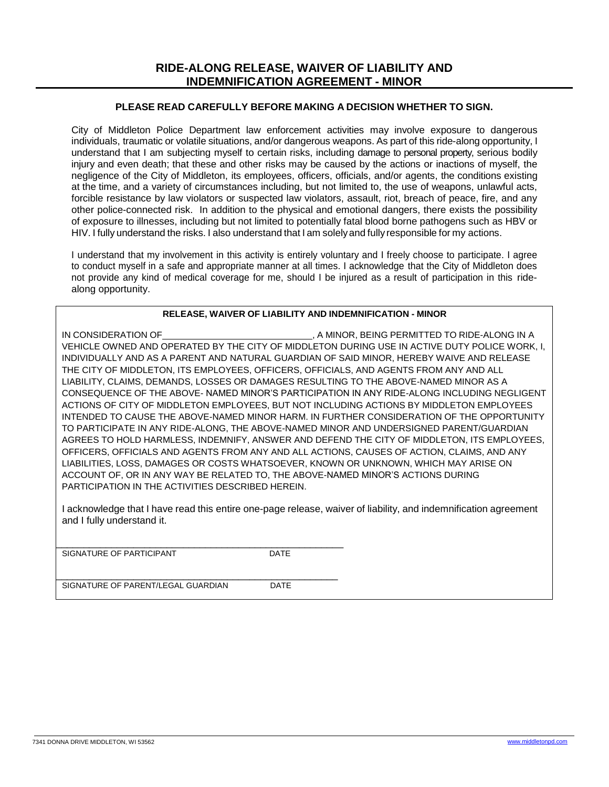### **PLEASE READ CAREFULLY BEFORE MAKING A DECISION WHETHER TO SIGN.**

City of Middleton Police Department law enforcement activities may involve exposure to dangerous individuals, traumatic or volatile situations, and/or dangerous weapons. As part of this ride-along opportunity, I understand that I am subjecting myself to certain risks, including damage to personal property, serious bodily injury and even death; that these and other risks may be caused by the actions or inactions of myself, the negligence of the City of Middleton, its employees, officers, officials, and/or agents, the conditions existing at the time, and a variety of circumstances including, but not limited to, the use of weapons, unlawful acts, forcible resistance by law violators or suspected law violators, assault, riot, breach of peace, fire, and any other police-connected risk. In addition to the physical and emotional dangers, there exists the possibility of exposure to illnesses, including but not limited to potentially fatal blood borne pathogens such as HBV or HIV. I fully understand the risks. I also understand that I am solelyand fully responsible for my actions.

I understand that my involvement in this activity is entirely voluntary and I freely choose to participate. I agree to conduct myself in a safe and appropriate manner at all times. I acknowledge that the City of Middleton does not provide any kind of medical coverage for me, should I be injured as a result of participation in this ridealong opportunity.

#### **RELEASE, WAIVER OF LIABILITY AND INDEMNIFICATION - MINOR**

IN CONSIDERATION OF **EXAMPLE 20 A MINOR, BEING PERMITTED TO RIDE-ALONG IN A** VEHICLE OWNED AND OPERATED BY THE CITY OF MIDDLETON DURING USE IN ACTIVE DUTY POLICE WORK, I, INDIVIDUALLY AND AS A PARENT AND NATURAL GUARDIAN OF SAID MINOR, HEREBY WAIVE AND RELEASE THE CITY OF MIDDLETON, ITS EMPLOYEES, OFFICERS, OFFICIALS, AND AGENTS FROM ANY AND ALL LIABILITY, CLAIMS, DEMANDS, LOSSES OR DAMAGES RESULTING TO THE ABOVE-NAMED MINOR AS A CONSEQUENCE OF THE ABOVE- NAMED MINOR'S PARTICIPATION IN ANY RIDE-ALONG INCLUDING NEGLIGENT ACTIONS OF CITY OF MIDDLETON EMPLOYEES, BUT NOT INCLUDING ACTIONS BY MIDDLETON EMPLOYEES INTENDED TO CAUSE THE ABOVE-NAMED MINOR HARM. IN FURTHER CONSIDERATION OF THE OPPORTUNITY TO PARTICIPATE IN ANY RIDE-ALONG, THE ABOVE-NAMED MINOR AND UNDERSIGNED PARENT/GUARDIAN AGREES TO HOLD HARMLESS, INDEMNIFY, ANSWER AND DEFEND THE CITY OF MIDDLETON, ITS EMPLOYEES, OFFICERS, OFFICIALS AND AGENTS FROM ANY AND ALL ACTIONS, CAUSES OF ACTION, CLAIMS, AND ANY LIABILITIES, LOSS, DAMAGES OR COSTS WHATSOEVER, KNOWN OR UNKNOWN, WHICH MAY ARISE ON ACCOUNT OF, OR IN ANY WAY BE RELATED TO, THE ABOVE-NAMED MINOR'S ACTIONS DURING PARTICIPATION IN THE ACTIVITIES DESCRIBED HEREIN.

I acknowledge that I have read this entire one-page release, waiver of liability, and indemnification agreement and I fully understand it.

\_\_\_\_\_\_\_\_\_\_\_\_\_\_\_\_\_\_\_\_\_\_\_\_\_\_\_\_\_\_\_\_\_\_\_\_\_\_\_\_\_\_\_\_\_\_\_\_\_\_\_\_ SIGNATURE OF PARTICIPANT DATE

\_\_\_\_\_\_\_\_\_\_\_\_\_\_\_\_\_\_\_\_\_\_\_\_\_\_\_\_\_\_\_\_\_\_\_\_\_\_\_\_\_\_\_\_\_\_\_\_\_\_\_ SIGNATURE OF PARENT/LEGAL GUARDIAN DATE